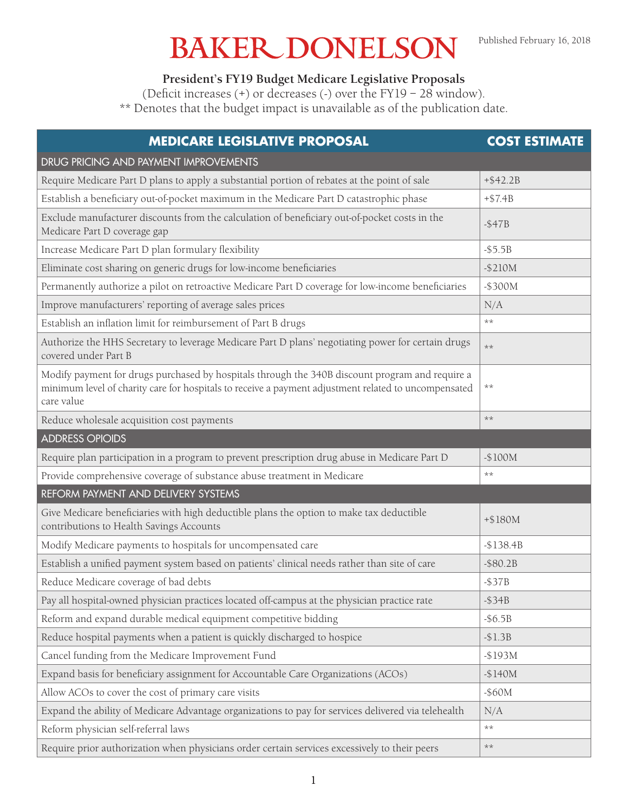## **BAKER DONELSON**

**President's FY19 Budget Medicare Legislative Proposals**

(Deficit increases (+) or decreases (-) over the FY19 – 28 window).

\*\* Denotes that the budget impact is unavailable as of the publication date.

| <b>MEDICARE LEGISLATIVE PROPOSAL</b>                                                                                                                                                                                  | <b>COST ESTIMATE</b> |
|-----------------------------------------------------------------------------------------------------------------------------------------------------------------------------------------------------------------------|----------------------|
| DRUG PRICING AND PAYMENT IMPROVEMENTS                                                                                                                                                                                 |                      |
| Require Medicare Part D plans to apply a substantial portion of rebates at the point of sale                                                                                                                          | $+ $42.2B$           |
| Establish a beneficiary out-of-pocket maximum in the Medicare Part D catastrophic phase                                                                                                                               | $+ $7.4B$            |
| Exclude manufacturer discounts from the calculation of beneficiary out-of-pocket costs in the<br>Medicare Part D coverage gap                                                                                         | $-$ \$47B            |
| Increase Medicare Part D plan formulary flexibility                                                                                                                                                                   | $-$ \$5.5B           |
| Eliminate cost sharing on generic drugs for low-income beneficiaries                                                                                                                                                  | $-$210M$             |
| Permanently authorize a pilot on retroactive Medicare Part D coverage for low-income beneficiaries                                                                                                                    | $-$300M$             |
| Improve manufacturers' reporting of average sales prices                                                                                                                                                              | N/A                  |
| Establish an inflation limit for reimbursement of Part B drugs                                                                                                                                                        | $***$                |
| Authorize the HHS Secretary to leverage Medicare Part D plans' negotiating power for certain drugs<br>covered under Part B                                                                                            | $***$                |
| Modify payment for drugs purchased by hospitals through the 340B discount program and require a<br>minimum level of charity care for hospitals to receive a payment adjustment related to uncompensated<br>care value | $***$                |
| Reduce wholesale acquisition cost payments                                                                                                                                                                            | $***$                |
| <b>ADDRESS OPIOIDS</b>                                                                                                                                                                                                |                      |
| Require plan participation in a program to prevent prescription drug abuse in Medicare Part D                                                                                                                         | $-$100M$             |
| Provide comprehensive coverage of substance abuse treatment in Medicare                                                                                                                                               | **                   |
| REFORM PAYMENT AND DELIVERY SYSTEMS                                                                                                                                                                                   |                      |
| Give Medicare beneficiaries with high deductible plans the option to make tax deductible<br>contributions to Health Savings Accounts                                                                                  | $+$180M$             |
| Modify Medicare payments to hospitals for uncompensated care                                                                                                                                                          | $-$138.4B$           |
| Establish a unified payment system based on patients' clinical needs rather than site of care                                                                                                                         | $-$ \$80.2B          |
| Reduce Medicare coverage of bad debts                                                                                                                                                                                 | $-$ \$37B            |
| Pay all hospital-owned physician practices located off-campus at the physician practice rate                                                                                                                          | $-$ \$34B            |
| Reform and expand durable medical equipment competitive bidding                                                                                                                                                       | $-$ \$6.5B           |
| Reduce hospital payments when a patient is quickly discharged to hospice                                                                                                                                              | $- $1.3B$            |
| Cancel funding from the Medicare Improvement Fund                                                                                                                                                                     | $-$193M$             |
| Expand basis for beneficiary assignment for Accountable Care Organizations (ACOs)                                                                                                                                     | $-$140M$             |
| Allow ACOs to cover the cost of primary care visits                                                                                                                                                                   | $-$ \$60M            |
| Expand the ability of Medicare Advantage organizations to pay for services delivered via telehealth                                                                                                                   | N/A                  |
| Reform physician self-referral laws                                                                                                                                                                                   | $***$                |
| Require prior authorization when physicians order certain services excessively to their peers                                                                                                                         | $\star\star$         |